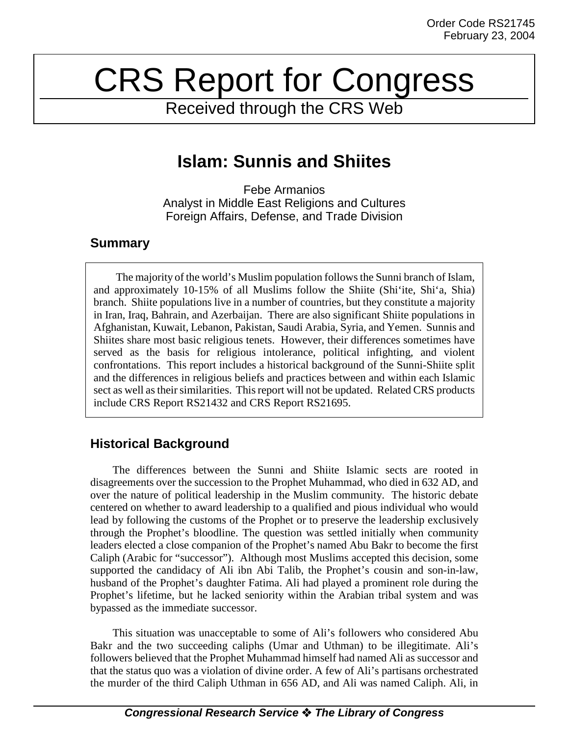# CRS Report for Congress

Received through the CRS Web

# **Islam: Sunnis and Shiites**

Febe Armanios Analyst in Middle East Religions and Cultures Foreign Affairs, Defense, and Trade Division

### **Summary**

The majority of the world's Muslim population follows the Sunni branch of Islam, and approximately 10-15% of all Muslims follow the Shiite (Shi'ite, Shi'a, Shia) branch. Shiite populations live in a number of countries, but they constitute a majority in Iran, Iraq, Bahrain, and Azerbaijan. There are also significant Shiite populations in Afghanistan, Kuwait, Lebanon, Pakistan, Saudi Arabia, Syria, and Yemen. Sunnis and Shiites share most basic religious tenets. However, their differences sometimes have served as the basis for religious intolerance, political infighting, and violent confrontations. This report includes a historical background of the Sunni-Shiite split and the differences in religious beliefs and practices between and within each Islamic sect as well as their similarities. This report will not be updated. Related CRS products include CRS Report RS21432 and CRS Report RS21695.

# **Historical Background**

The differences between the Sunni and Shiite Islamic sects are rooted in disagreements over the succession to the Prophet Muhammad, who died in 632 AD, and over the nature of political leadership in the Muslim community. The historic debate centered on whether to award leadership to a qualified and pious individual who would lead by following the customs of the Prophet or to preserve the leadership exclusively through the Prophet's bloodline. The question was settled initially when community leaders elected a close companion of the Prophet's named Abu Bakr to become the first Caliph (Arabic for "successor"). Although most Muslims accepted this decision, some supported the candidacy of Ali ibn Abi Talib, the Prophet's cousin and son-in-law, husband of the Prophet's daughter Fatima. Ali had played a prominent role during the Prophet's lifetime, but he lacked seniority within the Arabian tribal system and was bypassed as the immediate successor.

This situation was unacceptable to some of Ali's followers who considered Abu Bakr and the two succeeding caliphs (Umar and Uthman) to be illegitimate. Ali's followers believed that the Prophet Muhammad himself had named Ali as successor and that the status quo was a violation of divine order. A few of Ali's partisans orchestrated the murder of the third Caliph Uthman in 656 AD, and Ali was named Caliph. Ali, in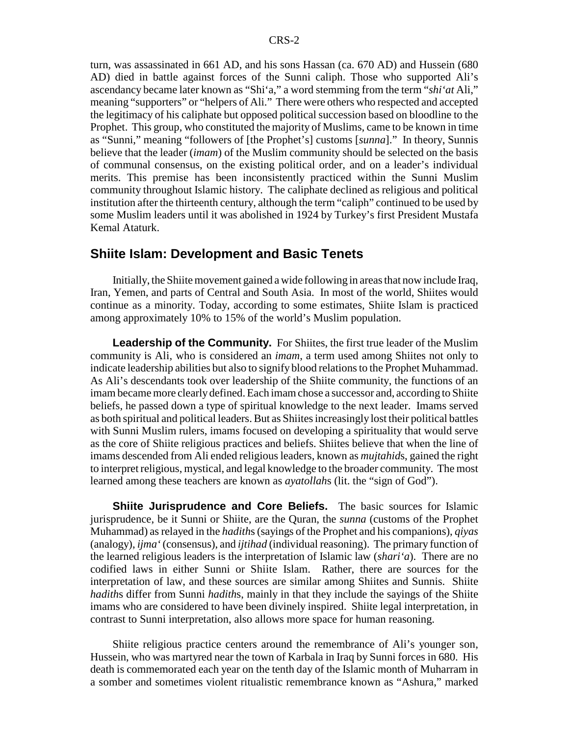turn, was assassinated in 661 AD, and his sons Hassan (ca. 670 AD) and Hussein (680 AD) died in battle against forces of the Sunni caliph. Those who supported Ali's ascendancy became later known as "Shi'a," a word stemming from the term "*shi'at* Ali," meaning "supporters" or "helpers of Ali." There were others who respected and accepted the legitimacy of his caliphate but opposed political succession based on bloodline to the Prophet. This group, who constituted the majority of Muslims, came to be known in time as "Sunni," meaning "followers of [the Prophet's] customs [*sunna*]." In theory, Sunnis believe that the leader (*imam*) of the Muslim community should be selected on the basis of communal consensus, on the existing political order, and on a leader's individual merits. This premise has been inconsistently practiced within the Sunni Muslim community throughout Islamic history. The caliphate declined as religious and political institution after the thirteenth century, although the term "caliph" continued to be used by some Muslim leaders until it was abolished in 1924 by Turkey's first President Mustafa Kemal Ataturk.

#### **Shiite Islam: Development and Basic Tenets**

Initially, the Shiite movement gained a wide following in areas that now include Iraq, Iran, Yemen, and parts of Central and South Asia. In most of the world, Shiites would continue as a minority. Today, according to some estimates, Shiite Islam is practiced among approximately 10% to 15% of the world's Muslim population.

**Leadership of the Community.** For Shiites, the first true leader of the Muslim community is Ali, who is considered an *imam*, a term used among Shiites not only to indicate leadership abilities but also to signify blood relations to the Prophet Muhammad. As Ali's descendants took over leadership of the Shiite community, the functions of an imam became more clearly defined. Each imam chose a successor and, according to Shiite beliefs, he passed down a type of spiritual knowledge to the next leader. Imams served as both spiritual and political leaders. But as Shiites increasingly lost their political battles with Sunni Muslim rulers, imams focused on developing a spirituality that would serve as the core of Shiite religious practices and beliefs. Shiites believe that when the line of imams descended from Ali ended religious leaders, known as *mujtahid*s, gained the right to interpret religious, mystical, and legal knowledge to the broader community. The most learned among these teachers are known as *ayatollah*s (lit. the "sign of God").

**Shiite Jurisprudence and Core Beliefs.** The basic sources for Islamic jurisprudence, be it Sunni or Shiite, are the Quran, the *sunna* (customs of the Prophet Muhammad) as relayed in the *hadith*s (sayings of the Prophet and his companions), *qiyas* (analogy), *ijma'* (consensus), and *ijtihad* (individual reasoning). The primary function of the learned religious leaders is the interpretation of Islamic law (*shari'a*). There are no codified laws in either Sunni or Shiite Islam. Rather, there are sources for the interpretation of law, and these sources are similar among Shiites and Sunnis. Shiite *hadith*s differ from Sunni *hadith*s, mainly in that they include the sayings of the Shiite imams who are considered to have been divinely inspired. Shiite legal interpretation, in contrast to Sunni interpretation, also allows more space for human reasoning.

Shiite religious practice centers around the remembrance of Ali's younger son, Hussein, who was martyred near the town of Karbala in Iraq by Sunni forces in 680. His death is commemorated each year on the tenth day of the Islamic month of Muharram in a somber and sometimes violent ritualistic remembrance known as "Ashura," marked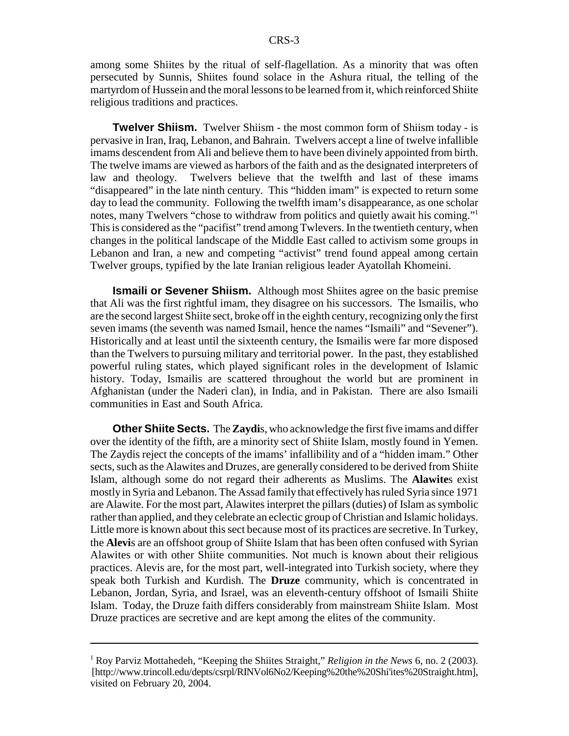among some Shiites by the ritual of self-flagellation. As a minority that was often persecuted by Sunnis, Shiites found solace in the Ashura ritual, the telling of the martyrdom of Hussein and the moral lessons to be learned from it, which reinforced Shiite religious traditions and practices.

**Twelver Shiism.** Twelver Shiism - the most common form of Shiism today - is pervasive in Iran, Iraq, Lebanon, and Bahrain. Twelvers accept a line of twelve infallible imams descendent from Ali and believe them to have been divinely appointed from birth. The twelve imams are viewed as harbors of the faith and as the designated interpreters of law and theology. Twelvers believe that the twelfth and last of these imams "disappeared" in the late ninth century. This "hidden imam" is expected to return some day to lead the community. Following the twelfth imam's disappearance, as one scholar notes, many Twelvers "chose to withdraw from politics and quietly await his coming."1 This is considered as the "pacifist" trend among Twlevers. In the twentieth century, when changes in the political landscape of the Middle East called to activism some groups in Lebanon and Iran, a new and competing "activist" trend found appeal among certain Twelver groups, typified by the late Iranian religious leader Ayatollah Khomeini.

**Ismaili or Sevener Shiism.** Although most Shiites agree on the basic premise that Ali was the first rightful imam, they disagree on his successors. The Ismailis, who are the second largest Shiite sect, broke off in the eighth century, recognizing only the first seven imams (the seventh was named Ismail, hence the names "Ismaili" and "Sevener"). Historically and at least until the sixteenth century, the Ismailis were far more disposed than the Twelvers to pursuing military and territorial power. In the past, they established powerful ruling states, which played significant roles in the development of Islamic history. Today, Ismailis are scattered throughout the world but are prominent in Afghanistan (under the Naderi clan), in India, and in Pakistan. There are also Ismaili communities in East and South Africa.

**Other Shiite Sects.** The **Zaydi**s, who acknowledge the first five imams and differ over the identity of the fifth, are a minority sect of Shiite Islam, mostly found in Yemen. The Zaydis reject the concepts of the imams' infallibility and of a "hidden imam." Other sects, such as the Alawites and Druzes, are generally considered to be derived from Shiite Islam, although some do not regard their adherents as Muslims. The **Alawite**s exist mostly in Syria and Lebanon. The Assad family that effectively has ruled Syria since 1971 are Alawite. For the most part, Alawites interpret the pillars (duties) of Islam as symbolic rather than applied, and they celebrate an eclectic group of Christian and Islamic holidays. Little more is known about this sect because most of its practices are secretive. In Turkey, the **Alevi**s are an offshoot group of Shiite Islam that has been often confused with Syrian Alawites or with other Shiite communities. Not much is known about their religious practices. Alevis are, for the most part, well-integrated into Turkish society, where they speak both Turkish and Kurdish. The **Druze** community, which is concentrated in Lebanon, Jordan, Syria, and Israel, was an eleventh-century offshoot of Ismaili Shiite Islam. Today, the Druze faith differs considerably from mainstream Shiite Islam. Most Druze practices are secretive and are kept among the elites of the community.

<sup>1</sup> Roy Parviz Mottahedeh, "Keeping the Shiites Straight," *Religion in the News* 6, no. 2 (2003). [http://www.trincoll.edu/depts/csrpl/RINVol6No2/Keeping%20the%20Shi'ites%20Straight.htm], visited on February 20, 2004.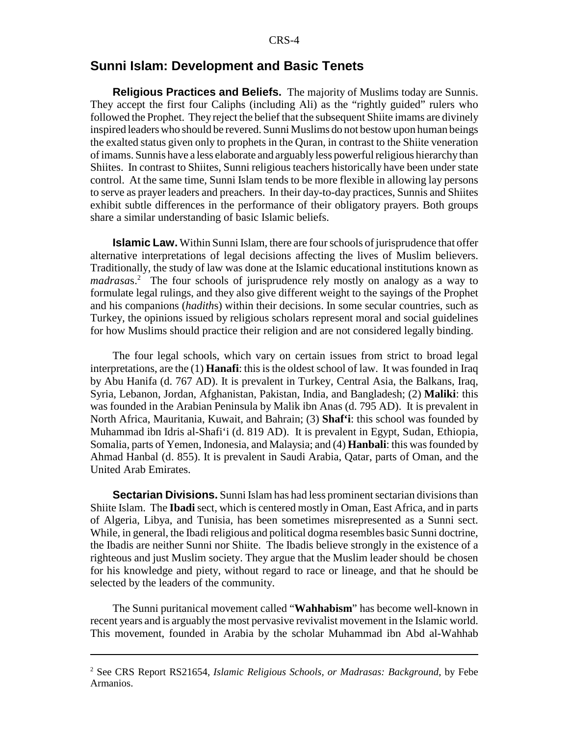#### **Sunni Islam: Development and Basic Tenets**

**Religious Practices and Beliefs.** The majority of Muslims today are Sunnis. They accept the first four Caliphs (including Ali) as the "rightly guided" rulers who followed the Prophet. They reject the belief that the subsequent Shiite imams are divinely inspired leaders who should be revered. Sunni Muslims do not bestow upon human beings the exalted status given only to prophets in the Quran, in contrast to the Shiite veneration of imams. Sunnis have a less elaborate and arguably less powerful religious hierarchy than Shiites. In contrast to Shiites, Sunni religious teachers historically have been under state control. At the same time, Sunni Islam tends to be more flexible in allowing lay persons to serve as prayer leaders and preachers. In their day-to-day practices, Sunnis and Shiites exhibit subtle differences in the performance of their obligatory prayers. Both groups share a similar understanding of basic Islamic beliefs.

**Islamic Law.** Within Sunni Islam, there are four schools of jurisprudence that offer alternative interpretations of legal decisions affecting the lives of Muslim believers. Traditionally, the study of law was done at the Islamic educational institutions known as *madrasa*s.2 The four schools of jurisprudence rely mostly on analogy as a way to formulate legal rulings, and they also give different weight to the sayings of the Prophet and his companions (*hadith*s) within their decisions. In some secular countries, such as Turkey, the opinions issued by religious scholars represent moral and social guidelines for how Muslims should practice their religion and are not considered legally binding.

The four legal schools, which vary on certain issues from strict to broad legal interpretations, are the (1) **Hanafi**: this is the oldest school of law. It was founded in Iraq by Abu Hanifa (d. 767 AD). It is prevalent in Turkey, Central Asia, the Balkans, Iraq, Syria, Lebanon, Jordan, Afghanistan, Pakistan, India, and Bangladesh; (2) **Maliki**: this was founded in the Arabian Peninsula by Malik ibn Anas (d. 795 AD). It is prevalent in North Africa, Mauritania, Kuwait, and Bahrain; (3) **Shaf'i**: this school was founded by Muhammad ibn Idris al-Shafi'i (d. 819 AD). It is prevalent in Egypt, Sudan, Ethiopia, Somalia, parts of Yemen, Indonesia, and Malaysia; and (4) **Hanbali**: this was founded by Ahmad Hanbal (d. 855). It is prevalent in Saudi Arabia, Qatar, parts of Oman, and the United Arab Emirates.

**Sectarian Divisions.** Sunni Islam has had less prominent sectarian divisions than Shiite Islam. The **Ibadi** sect, which is centered mostly in Oman, East Africa, and in parts of Algeria, Libya, and Tunisia, has been sometimes misrepresented as a Sunni sect. While, in general, the Ibadi religious and political dogma resembles basic Sunni doctrine, the Ibadis are neither Sunni nor Shiite. The Ibadis believe strongly in the existence of a righteous and just Muslim society. They argue that the Muslim leader should be chosen for his knowledge and piety, without regard to race or lineage, and that he should be selected by the leaders of the community.

The Sunni puritanical movement called "**Wahhabism**" has become well-known in recent years and is arguably the most pervasive revivalist movement in the Islamic world. This movement, founded in Arabia by the scholar Muhammad ibn Abd al-Wahhab

<sup>2</sup> See CRS Report RS21654, *Islamic Religious Schools, or Madrasas: Background*, by Febe Armanios.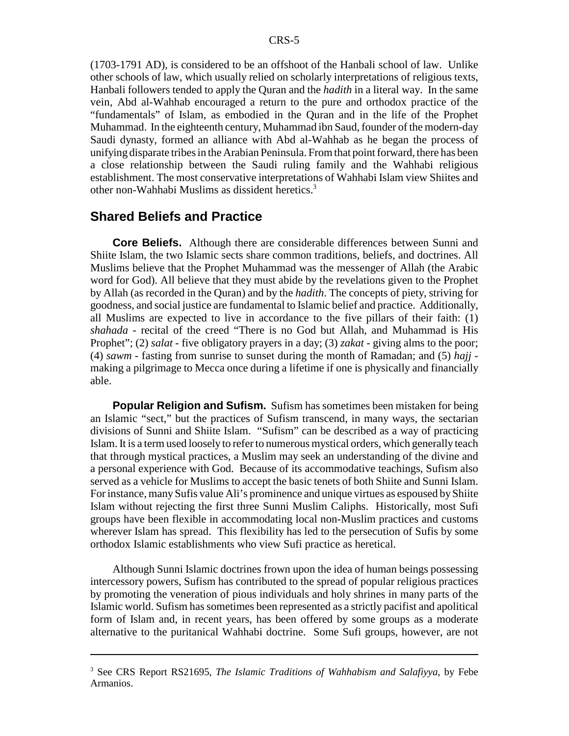(1703-1791 AD), is considered to be an offshoot of the Hanbali school of law. Unlike other schools of law, which usually relied on scholarly interpretations of religious texts, Hanbali followers tended to apply the Quran and the *hadith* in a literal way. In the same vein, Abd al-Wahhab encouraged a return to the pure and orthodox practice of the "fundamentals" of Islam, as embodied in the Quran and in the life of the Prophet Muhammad. In the eighteenth century, Muhammad ibn Saud, founder of the modern-day Saudi dynasty, formed an alliance with Abd al-Wahhab as he began the process of unifying disparate tribes in the Arabian Peninsula. From that point forward, there has been a close relationship between the Saudi ruling family and the Wahhabi religious establishment. The most conservative interpretations of Wahhabi Islam view Shiites and other non-Wahhabi Muslims as dissident heretics.3

#### **Shared Beliefs and Practice**

**Core Beliefs.** Although there are considerable differences between Sunni and Shiite Islam, the two Islamic sects share common traditions, beliefs, and doctrines. All Muslims believe that the Prophet Muhammad was the messenger of Allah (the Arabic word for God). All believe that they must abide by the revelations given to the Prophet by Allah (as recorded in the Quran) and by the *hadith*. The concepts of piety, striving for goodness, and social justice are fundamental to Islamic belief and practice. Additionally, all Muslims are expected to live in accordance to the five pillars of their faith: (1) *shahada* - recital of the creed "There is no God but Allah, and Muhammad is His Prophet"; (2) *salat* - five obligatory prayers in a day; (3) *zakat* - giving alms to the poor; (4) *sawm* - fasting from sunrise to sunset during the month of Ramadan; and (5) *hajj* making a pilgrimage to Mecca once during a lifetime if one is physically and financially able.

**Popular Religion and Sufism.** Sufism has sometimes been mistaken for being an Islamic "sect," but the practices of Sufism transcend, in many ways, the sectarian divisions of Sunni and Shiite Islam. "Sufism" can be described as a way of practicing Islam. It is a term used loosely to refer to numerous mystical orders, which generally teach that through mystical practices, a Muslim may seek an understanding of the divine and a personal experience with God. Because of its accommodative teachings, Sufism also served as a vehicle for Muslims to accept the basic tenets of both Shiite and Sunni Islam. For instance, many Sufis value Ali's prominence and unique virtues as espoused by Shiite Islam without rejecting the first three Sunni Muslim Caliphs. Historically, most Sufi groups have been flexible in accommodating local non-Muslim practices and customs wherever Islam has spread. This flexibility has led to the persecution of Sufis by some orthodox Islamic establishments who view Sufi practice as heretical.

Although Sunni Islamic doctrines frown upon the idea of human beings possessing intercessory powers, Sufism has contributed to the spread of popular religious practices by promoting the veneration of pious individuals and holy shrines in many parts of the Islamic world. Sufism has sometimes been represented as a strictly pacifist and apolitical form of Islam and, in recent years, has been offered by some groups as a moderate alternative to the puritanical Wahhabi doctrine. Some Sufi groups, however, are not

<sup>3</sup> See CRS Report RS21695, *The Islamic Traditions of Wahhabism and Salafiyya*, by Febe Armanios.